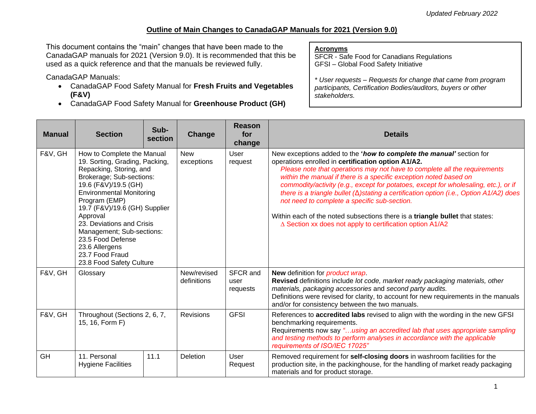## **Outline of Main Changes to CanadaGAP Manuals for 2021 (Version 9.0)**

This document contains the "main" changes that have been made to the CanadaGAP manuals for 2021 (Version 9.0). It is recommended that this be used as a quick reference and that the manuals be reviewed fully.

CanadaGAP Manuals:

- CanadaGAP Food Safety Manual for **Fresh Fruits and Vegetables (F&V)**
- CanadaGAP Food Safety Manual for **Greenhouse Product (GH)**

## **Acronyms**

SFCR - Safe Food for Canadians Regulations GFSI – Global Food Safety Initiative

*\* User requests – Requests for change that came from program participants, Certification Bodies/auditors, buyers or other stakeholders.*

| <b>Manual</b> | <b>Section</b>                                                                                                                                                                                                                                                                                                                                                                               | Sub-<br>section | Change                     | <b>Reason</b><br>for<br>change | <b>Details</b>                                                                                                                                                                                                                                                                                                                                                                                                                                                                                                                                                                                                                                                       |
|---------------|----------------------------------------------------------------------------------------------------------------------------------------------------------------------------------------------------------------------------------------------------------------------------------------------------------------------------------------------------------------------------------------------|-----------------|----------------------------|--------------------------------|----------------------------------------------------------------------------------------------------------------------------------------------------------------------------------------------------------------------------------------------------------------------------------------------------------------------------------------------------------------------------------------------------------------------------------------------------------------------------------------------------------------------------------------------------------------------------------------------------------------------------------------------------------------------|
| F&V, GH       | How to Complete the Manual<br>19. Sorting, Grading, Packing,<br>Repacking, Storing, and<br>Brokerage; Sub-sections:<br>19.6 (F&V)/19.5 (GH)<br><b>Environmental Monitoring</b><br>Program (EMP)<br>19.7 (F&V)/19.6 (GH) Supplier<br>Approval<br>23. Deviations and Crisis<br>Management; Sub-sections:<br>23.5 Food Defense<br>23.6 Allergens<br>23.7 Food Fraud<br>23.8 Food Safety Culture |                 | <b>New</b><br>exceptions   | User<br>request                | New exceptions added to the 'how to complete the manual' section for<br>operations enrolled in certification option A1/A2.<br>Please note that operations may not have to complete all the requirements<br>within the manual if there is a specific exception noted based on<br>commodity/activity (e.g., except for potatoes, except for wholesaling, etc.), or if<br>there is a triangle bullet (A)stating a certification option (i.e., Option A1/A2) does<br>not need to complete a specific sub-section.<br>Within each of the noted subsections there is a triangle bullet that states:<br>$\triangle$ Section xx does not apply to certification option A1/A2 |
| F&V, GH       | Glossary                                                                                                                                                                                                                                                                                                                                                                                     |                 | New/revised<br>definitions | SFCR and<br>user<br>requests   | <b>New definition for product wrap.</b><br>Revised definitions include lot code, market ready packaging materials, other<br>materials, packaging accessories and second party audits.<br>Definitions were revised for clarity, to account for new requirements in the manuals<br>and/or for consistency between the two manuals.                                                                                                                                                                                                                                                                                                                                     |
| F&V, GH       | Throughout (Sections 2, 6, 7,<br>15, 16, Form F)                                                                                                                                                                                                                                                                                                                                             |                 | <b>Revisions</b>           | <b>GFSI</b>                    | References to accredited labs revised to align with the wording in the new GFSI<br>benchmarking requirements.<br>Requirements now say "using an accredited lab that uses appropriate sampling<br>and testing methods to perform analyses in accordance with the applicable<br>requirements of ISO/IEC 17025"                                                                                                                                                                                                                                                                                                                                                         |
| GH            | 11. Personal<br><b>Hygiene Facilities</b>                                                                                                                                                                                                                                                                                                                                                    | 11.1            | Deletion                   | User<br>Request                | Removed requirement for self-closing doors in washroom facilities for the<br>production site, in the packinghouse, for the handling of market ready packaging<br>materials and for product storage.                                                                                                                                                                                                                                                                                                                                                                                                                                                                  |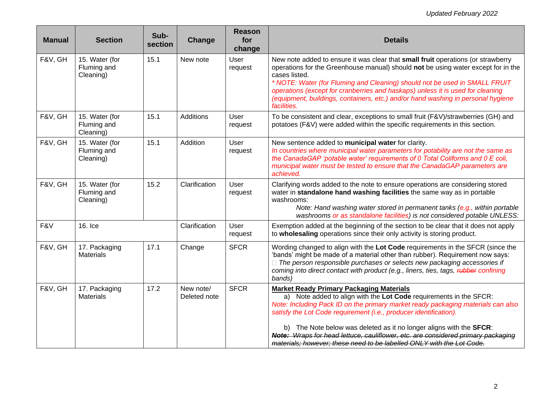| <b>Manual</b> | <b>Section</b>                             | Sub-<br>section | Change                    | <b>Reason</b><br>for<br>change | <b>Details</b>                                                                                                                                                                                                                                                                                                                                                                                                                                                                                                     |
|---------------|--------------------------------------------|-----------------|---------------------------|--------------------------------|--------------------------------------------------------------------------------------------------------------------------------------------------------------------------------------------------------------------------------------------------------------------------------------------------------------------------------------------------------------------------------------------------------------------------------------------------------------------------------------------------------------------|
| F&V, GH       | 15. Water (for<br>Fluming and<br>Cleaning) | 15.1            | New note                  | User<br>request                | New note added to ensure it was clear that small fruit operations (or strawberry<br>operations for the Greenhouse manual) should not be using water except for in the<br>cases listed.<br>* NOTE: Water (for Fluming and Cleaning) should not be used in SMALL FRUIT<br>operations (except for cranberries and haskaps) unless it is used for cleaning<br>(equipment, buildings, containers, etc.) and/or hand washing in personal hygiene<br>facilities.                                                          |
| F&V, GH       | 15. Water (for<br>Fluming and<br>Cleaning) | 15.1            | Additions                 | User<br>request                | To be consistent and clear, exceptions to small fruit (F&V)/strawberries (GH) and<br>potatoes (F&V) were added within the specific requirements in this section.                                                                                                                                                                                                                                                                                                                                                   |
| F&V, GH       | 15. Water (for<br>Fluming and<br>Cleaning) | 15.1            | Addition                  | User<br>request                | New sentence added to municipal water for clarity.<br>In countries where municipal water parameters for potability are not the same as<br>the CanadaGAP 'potable water' requirements of 0 Total Coliforms and 0 E coli,<br>municipal water must be tested to ensure that the CanadaGAP parameters are<br>achieved.                                                                                                                                                                                                 |
| F&V, GH       | 15. Water (for<br>Fluming and<br>Cleaning) | 15.2            | Clarification             | User<br>request                | Clarifying words added to the note to ensure operations are considering stored<br>water in standalone hand washing facilities the same way as in portable<br>washrooms:<br>Note: Hand washing water stored in permanent tanks (e.g., within portable<br>washrooms or as standalone facilities) is not considered potable UNLESS:                                                                                                                                                                                   |
| F&V           | 16. Ice                                    |                 | Clarification             | User<br>request                | Exemption added at the beginning of the section to be clear that it does not apply<br>to wholesaling operations since their only activity is storing product.                                                                                                                                                                                                                                                                                                                                                      |
| F&V, GH       | 17. Packaging<br><b>Materials</b>          | 17.1            | Change                    | <b>SFCR</b>                    | Wording changed to align with the Lot Code requirements in the SFCR (since the<br>'bands' might be made of a material other than rubber). Requirement now says:<br>$\Box$ The person responsible purchases or selects new packaging accessories if<br>coming into direct contact with product (e.g., liners, ties, tags, <i>rubber</i> confining<br>bands)                                                                                                                                                         |
| F&V, GH       | 17. Packaging<br><b>Materials</b>          | 17.2            | New note/<br>Deleted note | <b>SFCR</b>                    | <b>Market Ready Primary Packaging Materials</b><br>a) Note added to align with the Lot Code requirements in the SFCR:<br>Note: Including Pack ID on the primary market ready packaging materials can also<br>satisfy the Lot Code requirement (i.e., producer identification).<br>b) The Note below was deleted as it no longer aligns with the SFCR:<br>Note: Wraps for head lettuce, cauliflower, etc. are considered primary packaging<br>materials: however: these need to be labelled ONLY with the Lot Code. |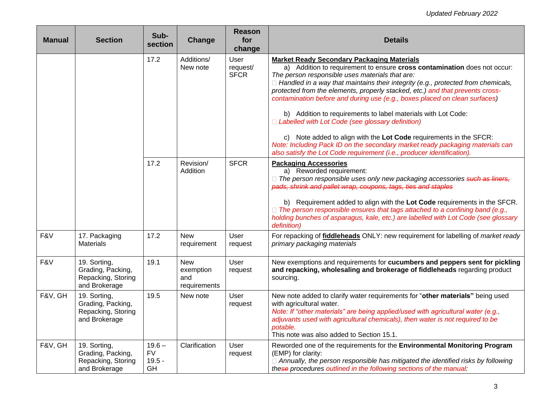| <b>Manual</b> | <b>Section</b>                                                           | Sub-<br>section                         | Change                                         | <b>Reason</b><br>for<br>change  | <b>Details</b>                                                                                                                                                                                                                                                                                                                                                                                                                                                                                                                                                                                                                                                                                                                                                                                   |
|---------------|--------------------------------------------------------------------------|-----------------------------------------|------------------------------------------------|---------------------------------|--------------------------------------------------------------------------------------------------------------------------------------------------------------------------------------------------------------------------------------------------------------------------------------------------------------------------------------------------------------------------------------------------------------------------------------------------------------------------------------------------------------------------------------------------------------------------------------------------------------------------------------------------------------------------------------------------------------------------------------------------------------------------------------------------|
|               |                                                                          | 17.2                                    | Additions/<br>New note                         | User<br>request/<br><b>SFCR</b> | <b>Market Ready Secondary Packaging Materials</b><br>a) Addition to requirement to ensure cross contamination does not occur:<br>The person responsible uses materials that are:<br>$\Box$ Handled in a way that maintains their integrity (e.g., protected from chemicals,<br>protected from the elements, properly stacked, etc.) and that prevents cross-<br>contamination before and during use (e.g., boxes placed on clean surfaces)<br>b) Addition to requirements to label materials with Lot Code:<br>Labelled with Lot Code (see glossary definition)<br>c) Note added to align with the Lot Code requirements in the SFCR:<br>Note: Including Pack ID on the secondary market ready packaging materials can<br>also satisfy the Lot Code requirement (i.e., producer identification). |
|               |                                                                          | 17.2                                    | Revision/<br>Addition                          | <b>SFCR</b>                     | <b>Packaging Accessories</b><br>a) Reworded requirement:<br>□ The person responsible uses only new packaging accessories such as liners,<br>pads, shrink and pallet wrap, coupons, tags, ties and staples<br>b) Requirement added to align with the Lot Code requirements in the SFCR.<br>$\Box$ The person responsible ensures that tags attached to a confining band (e.g.,<br>holding bunches of asparagus, kale, etc.) are labelled with Lot Code (see glossary<br>definition)                                                                                                                                                                                                                                                                                                               |
| F&V           | 17. Packaging<br><b>Materials</b>                                        | 17.2                                    | <b>New</b><br>requirement                      | User<br>request                 | For repacking of fiddleheads ONLY: new requirement for labelling of market ready<br>primary packaging materials                                                                                                                                                                                                                                                                                                                                                                                                                                                                                                                                                                                                                                                                                  |
| F&V           | 19. Sorting,<br>Grading, Packing,<br>Repacking, Storing<br>and Brokerage | 19.1                                    | <b>New</b><br>exemption<br>and<br>requirements | User<br>request                 | New exemptions and requirements for cucumbers and peppers sent for pickling<br>and repacking, wholesaling and brokerage of fiddleheads regarding product<br>sourcing.                                                                                                                                                                                                                                                                                                                                                                                                                                                                                                                                                                                                                            |
| F&V, GH       | 19. Sorting,<br>Grading, Packing,<br>Repacking, Storing<br>and Brokerage | 19.5                                    | New note                                       | User<br>request                 | New note added to clarify water requirements for "other materials" being used<br>with agricultural water.<br>Note: If "other materials" are being applied/used with agricultural water (e.g.,<br>adjuvants used with agricultural chemicals), then water is not required to be<br>potable.<br>This note was also added to Section 15.1.                                                                                                                                                                                                                                                                                                                                                                                                                                                          |
| F&V, GH       | 19. Sorting,<br>Grading, Packing,<br>Repacking, Storing<br>and Brokerage | $19.6 -$<br><b>FV</b><br>$19.5 -$<br>GH | Clarification                                  | User<br>request                 | Reworded one of the requirements for the Environmental Monitoring Program<br>(EMP) for clarity:<br>$\Box$ Annually, the person responsible has mitigated the identified risks by following<br>these procedures outlined in the following sections of the manual:                                                                                                                                                                                                                                                                                                                                                                                                                                                                                                                                 |